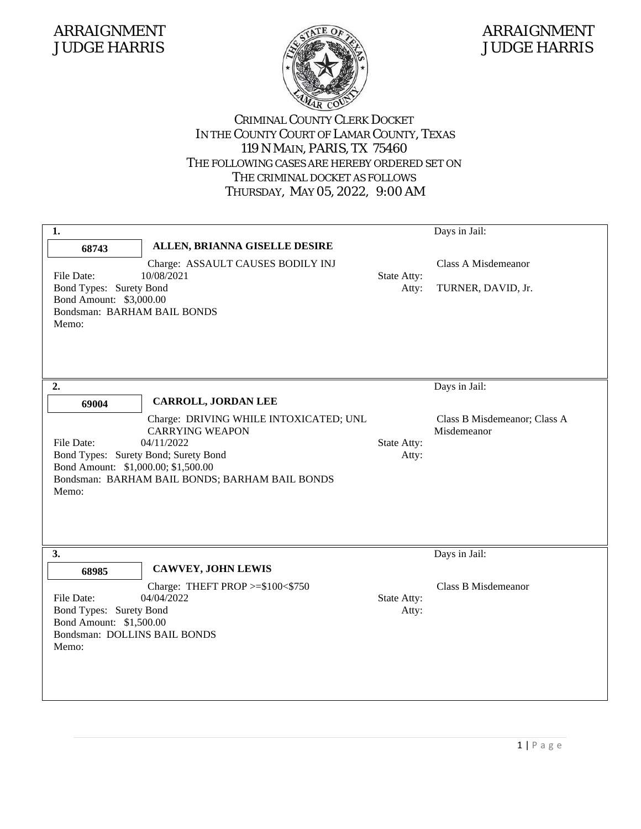

### JUDGE HARRIS JUDGE HARRIS

| 1.<br>68743<br>File Date:<br>Bond Types: Surety Bond<br>Bond Amount: \$3,000.00<br>Bondsman: BARHAM BAIL BONDS<br>Memo:  | ALLEN, BRIANNA GISELLE DESIRE<br>Charge: ASSAULT CAUSES BODILY INJ<br>10/08/2021                                                                        | State Atty:<br>Atty: | Days in Jail:<br>Class A Misdemeanor<br>TURNER, DAVID, Jr.   |
|--------------------------------------------------------------------------------------------------------------------------|---------------------------------------------------------------------------------------------------------------------------------------------------------|----------------------|--------------------------------------------------------------|
| 2.<br>69004<br>File Date:<br>Bond Types: Surety Bond; Surety Bond<br>Bond Amount: \$1,000.00; \$1,500.00<br>Memo:        | CARROLL, JORDAN LEE<br>Charge: DRIVING WHILE INTOXICATED; UNL<br><b>CARRYING WEAPON</b><br>04/11/2022<br>Bondsman: BARHAM BAIL BONDS; BARHAM BAIL BONDS | State Atty:<br>Atty: | Days in Jail:<br>Class B Misdemeanor; Class A<br>Misdemeanor |
| 3.<br>68985<br>File Date:<br>Bond Types: Surety Bond<br>Bond Amount: \$1,500.00<br>Bondsman: DOLLINS BAIL BONDS<br>Memo: | <b>CAWVEY, JOHN LEWIS</b><br>Charge: THEFT PROP >=\$100<\$750<br>04/04/2022                                                                             | State Atty:<br>Atty: | Days in Jail:<br>Class B Misdemeanor                         |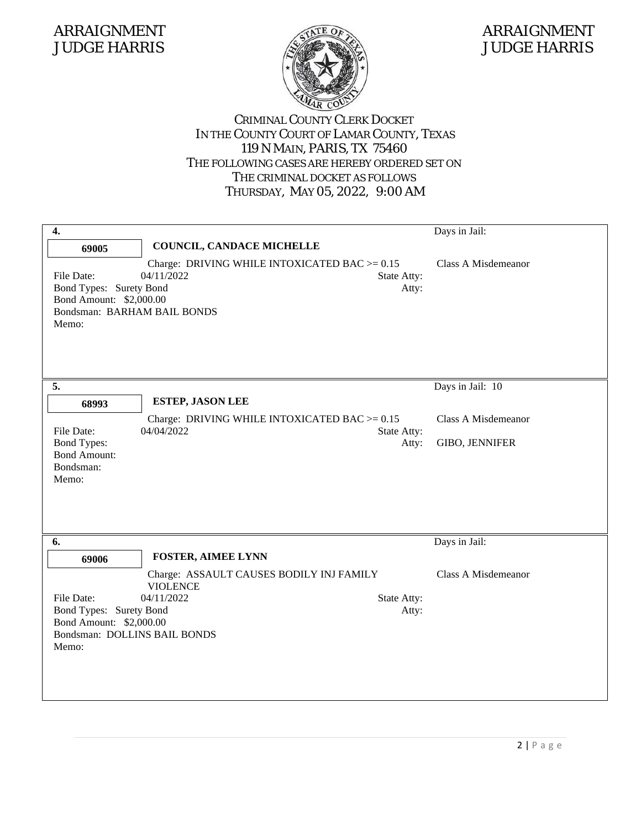

### JUDGE HARRIS JUDGE HARRIS

| 4.                                                                                                                 |                                                                                                                                | Days in Jail:                                |
|--------------------------------------------------------------------------------------------------------------------|--------------------------------------------------------------------------------------------------------------------------------|----------------------------------------------|
| 69005                                                                                                              | COUNCIL, CANDACE MICHELLE                                                                                                      |                                              |
| File Date:<br>Bond Types: Surety Bond<br>Bond Amount: \$2,000.00<br>Bondsman: BARHAM BAIL BONDS<br>Memo:           | Charge: DRIVING WHILE INTOXICATED BAC $>= 0.15$<br>04/11/2022<br>State Atty:<br>Atty:                                          | Class A Misdemeanor                          |
| 5.                                                                                                                 |                                                                                                                                | Days in Jail: 10                             |
| 68993                                                                                                              | <b>ESTEP, JASON LEE</b>                                                                                                        |                                              |
| File Date:<br><b>Bond Types:</b><br><b>Bond Amount:</b><br>Bondsman:<br>Memo:                                      | Charge: DRIVING WHILE INTOXICATED BAC $>= 0.15$<br>04/04/2022<br>State Atty:<br>Atty:                                          | Class A Misdemeanor<br><b>GIBO, JENNIFER</b> |
| 6.                                                                                                                 |                                                                                                                                | Days in Jail:                                |
| 69006<br>File Date:<br>Bond Types: Surety Bond<br>Bond Amount: \$2,000.00<br>Bondsman: DOLLINS BAIL BONDS<br>Memo: | <b>FOSTER, AIMEE LYNN</b><br>Charge: ASSAULT CAUSES BODILY INJ FAMILY<br><b>VIOLENCE</b><br>04/11/2022<br>State Atty:<br>Atty: | Class A Misdemeanor                          |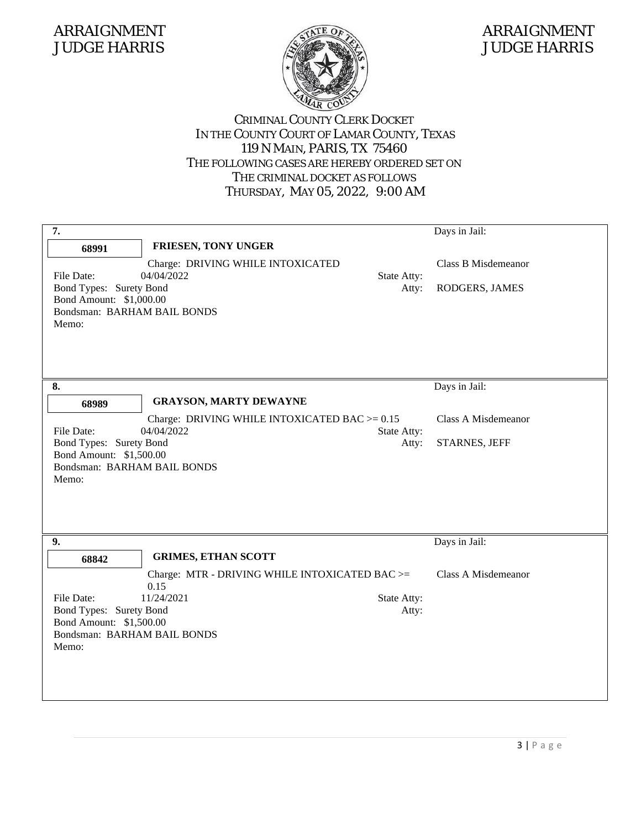

### JUDGE HARRIS JUDGE HARRIS

| 7.                                                                                                                |                                                                                                    |                      | Days in Jail:                         |
|-------------------------------------------------------------------------------------------------------------------|----------------------------------------------------------------------------------------------------|----------------------|---------------------------------------|
| 68991                                                                                                             | <b>FRIESEN, TONY UNGER</b>                                                                         |                      |                                       |
| File Date:<br>Bond Types: Surety Bond<br>Bond Amount: \$1,000.00<br>Bondsman: BARHAM BAIL BONDS<br>Memo:          | Charge: DRIVING WHILE INTOXICATED<br>04/04/2022                                                    | State Atty:<br>Atty: | Class B Misdemeanor<br>RODGERS, JAMES |
| 8.                                                                                                                |                                                                                                    |                      | Days in Jail:                         |
| 68989                                                                                                             | <b>GRAYSON, MARTY DEWAYNE</b>                                                                      |                      |                                       |
| File Date:<br>Bond Types: Surety Bond<br>Bond Amount: \$1,500.00<br>Bondsman: BARHAM BAIL BONDS<br>Memo:          | Charge: DRIVING WHILE INTOXICATED BAC $>= 0.15$<br>04/04/2022                                      | State Atty:<br>Atty: | Class A Misdemeanor<br>STARNES, JEFF  |
| 9.                                                                                                                |                                                                                                    |                      | Days in Jail:                         |
| 68842<br>File Date:<br>Bond Types: Surety Bond<br>Bond Amount: \$1,500.00<br>Bondsman: BARHAM BAIL BONDS<br>Memo: | <b>GRIMES, ETHAN SCOTT</b><br>Charge: MTR - DRIVING WHILE INTOXICATED BAC >=<br>0.15<br>11/24/2021 | State Atty:<br>Atty: | <b>Class A Misdemeanor</b>            |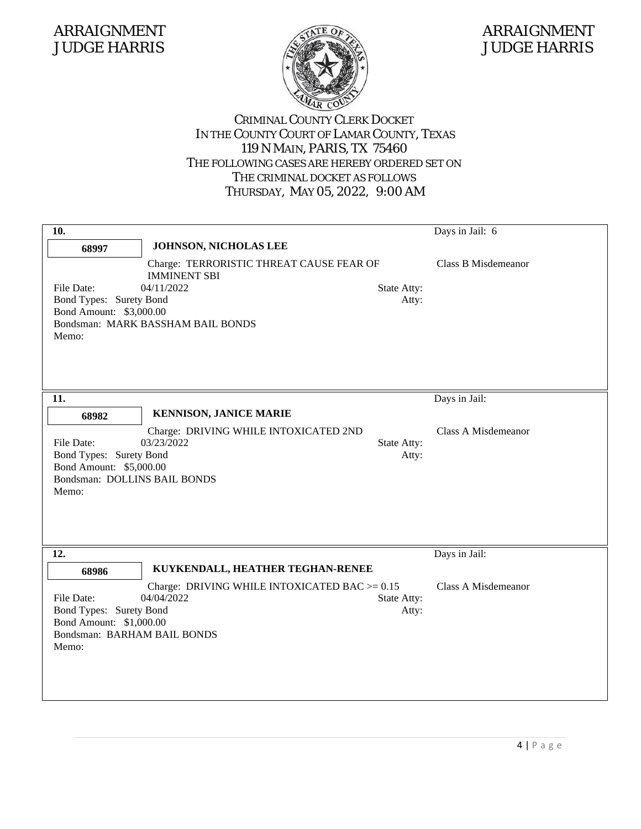

### JUDGE HARRIS JUDGE HARRIS

| 10.                                                                                                       |                                                                               |                      | Days in Jail: 6            |
|-----------------------------------------------------------------------------------------------------------|-------------------------------------------------------------------------------|----------------------|----------------------------|
| 68997                                                                                                     | JOHNSON, NICHOLAS LEE                                                         |                      |                            |
| File Date:                                                                                                | Charge: TERRORISTIC THREAT CAUSE FEAR OF<br><b>IMMINENT SBI</b><br>04/11/2022 | State Atty:          | <b>Class B Misdemeanor</b> |
| Bond Types: Surety Bond<br>Bond Amount: \$3,000.00<br>Memo:                                               | Bondsman: MARK BASSHAM BAIL BONDS                                             | Atty:                |                            |
| 11.                                                                                                       |                                                                               |                      | Days in Jail:              |
| 68982                                                                                                     | <b>KENNISON, JANICE MARIE</b>                                                 |                      |                            |
| File Date:<br>Bond Types: Surety Bond<br>Bond Amount: \$5,000.00<br>Bondsman: DOLLINS BAIL BONDS<br>Memo: | Charge: DRIVING WHILE INTOXICATED 2ND<br>03/23/2022                           | State Atty:<br>Atty: | Class A Misdemeanor        |
| 12.                                                                                                       |                                                                               |                      | Days in Jail:              |
| 68986                                                                                                     | KUYKENDALL, HEATHER TEGHAN-RENEE                                              |                      |                            |
| File Date:<br>Bond Types: Surety Bond<br>Bond Amount: \$1,000.00<br>Bondsman: BARHAM BAIL BONDS<br>Memo:  | Charge: DRIVING WHILE INTOXICATED BAC $>= 0.15$<br>04/04/2022                 | State Atty:<br>Atty: | Class A Misdemeanor        |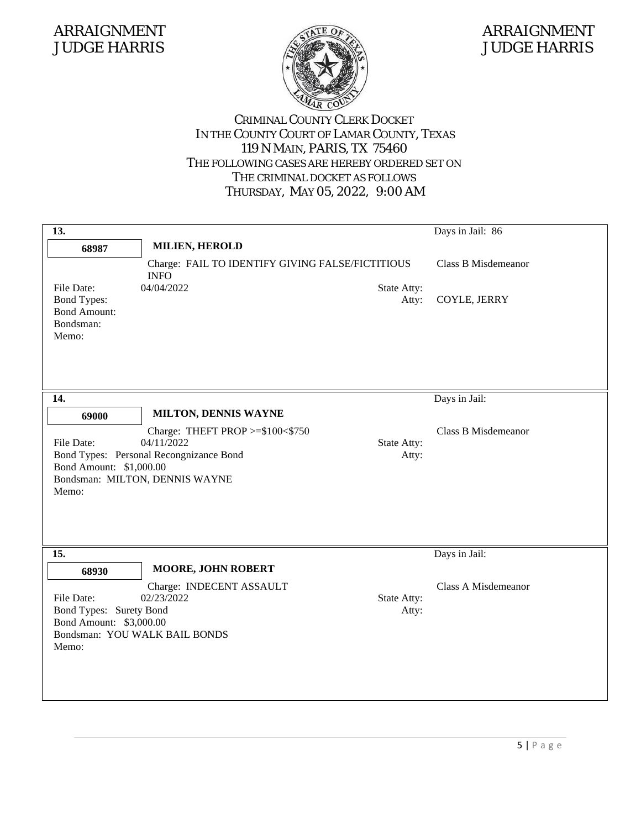

### JUDGE HARRIS JUDGE HARRIS

| 13.                                                |                                                                 |             | Days in Jail: 86           |
|----------------------------------------------------|-----------------------------------------------------------------|-------------|----------------------------|
| 68987                                              | <b>MILIEN, HEROLD</b>                                           |             |                            |
|                                                    | Charge: FAIL TO IDENTIFY GIVING FALSE/FICTITIOUS<br><b>INFO</b> |             | <b>Class B Misdemeanor</b> |
| File Date:                                         | 04/04/2022                                                      | State Atty: |                            |
| <b>Bond Types:</b><br><b>Bond Amount:</b>          |                                                                 | Atty:       | COYLE, JERRY               |
| Bondsman:                                          |                                                                 |             |                            |
| Memo:                                              |                                                                 |             |                            |
|                                                    |                                                                 |             |                            |
|                                                    |                                                                 |             |                            |
| 14.                                                |                                                                 |             | Days in Jail:              |
| 69000                                              | MILTON, DENNIS WAYNE                                            |             |                            |
|                                                    | Charge: THEFT PROP >=\$100<\$750                                |             | <b>Class B Misdemeanor</b> |
| File Date:                                         | 04/11/2022                                                      | State Atty: |                            |
|                                                    | Bond Types: Personal Recongnizance Bond                         | Atty:       |                            |
| Bond Amount: \$1,000.00                            | Bondsman: MILTON, DENNIS WAYNE                                  |             |                            |
| Memo:                                              |                                                                 |             |                            |
|                                                    |                                                                 |             |                            |
|                                                    |                                                                 |             |                            |
|                                                    |                                                                 |             |                            |
| 15.                                                |                                                                 |             | Days in Jail:              |
| 68930                                              | <b>MOORE, JOHN ROBERT</b>                                       |             |                            |
|                                                    | Charge: INDECENT ASSAULT                                        |             | <b>Class A Misdemeanor</b> |
| File Date:                                         | 02/23/2022                                                      | State Atty: |                            |
| Bond Types: Surety Bond<br>Bond Amount: \$3,000.00 |                                                                 | Atty:       |                            |
|                                                    | Bondsman: YOU WALK BAIL BONDS                                   |             |                            |
| Memo:                                              |                                                                 |             |                            |
|                                                    |                                                                 |             |                            |
|                                                    |                                                                 |             |                            |
|                                                    |                                                                 |             |                            |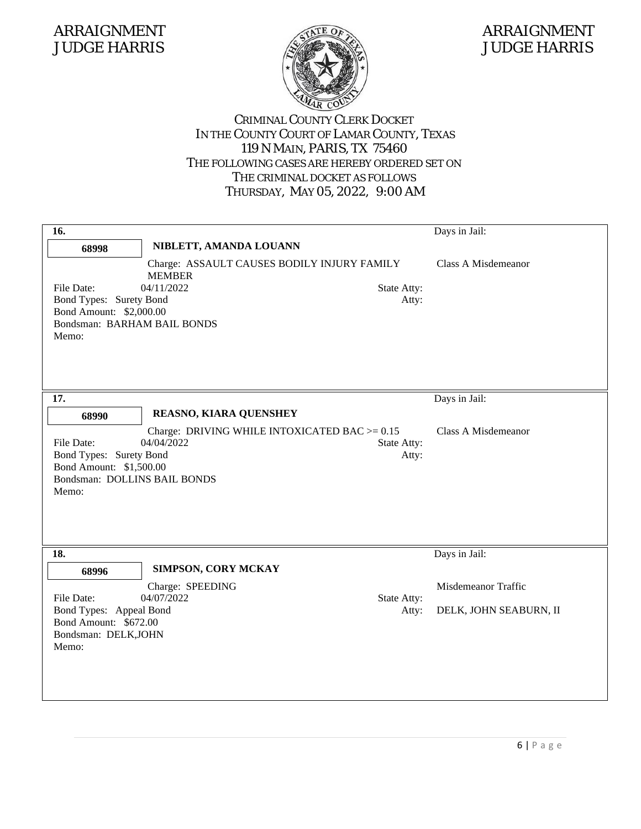

### JUDGE HARRIS JUDGE HARRIS

| 16.                                                                                                       |                                                                            |                      | Days in Jail:                                 |
|-----------------------------------------------------------------------------------------------------------|----------------------------------------------------------------------------|----------------------|-----------------------------------------------|
| 68998                                                                                                     | NIBLETT, AMANDA LOUANN                                                     |                      |                                               |
| File Date:<br>Bond Types: Surety Bond<br>Bond Amount: \$2,000.00<br>Bondsman: BARHAM BAIL BONDS<br>Memo:  | Charge: ASSAULT CAUSES BODILY INJURY FAMILY<br><b>MEMBER</b><br>04/11/2022 | State Atty:<br>Atty: | Class A Misdemeanor                           |
| 17.                                                                                                       |                                                                            |                      | Days in Jail:                                 |
| 68990                                                                                                     | REASNO, KIARA QUENSHEY                                                     |                      |                                               |
| File Date:<br>Bond Types: Surety Bond<br>Bond Amount: \$1,500.00<br>Bondsman: DOLLINS BAIL BONDS<br>Memo: | Charge: DRIVING WHILE INTOXICATED BAC $>= 0.15$<br>04/04/2022              | State Atty:<br>Atty: | Class A Misdemeanor                           |
| 18.                                                                                                       |                                                                            |                      | Days in Jail:                                 |
| 68996<br>File Date:<br>Bond Types: Appeal Bond<br>Bond Amount: \$672.00<br>Bondsman: DELK, JOHN<br>Memo:  | SIMPSON, CORY MCKAY<br>Charge: SPEEDING<br>04/07/2022                      | State Atty:<br>Atty: | Misdemeanor Traffic<br>DELK, JOHN SEABURN, II |